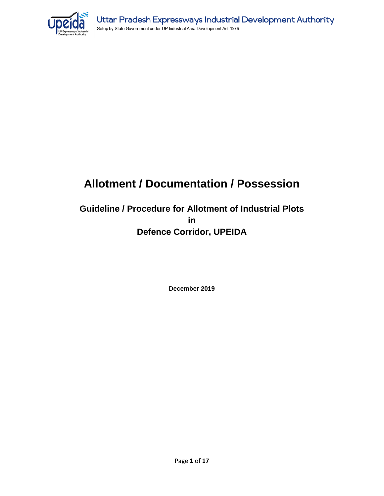

## **Allotment / Documentation / Possession**

## **Guideline / Procedure for Allotment of Industrial Plots in Defence Corridor, UPEIDA**

**December 2019**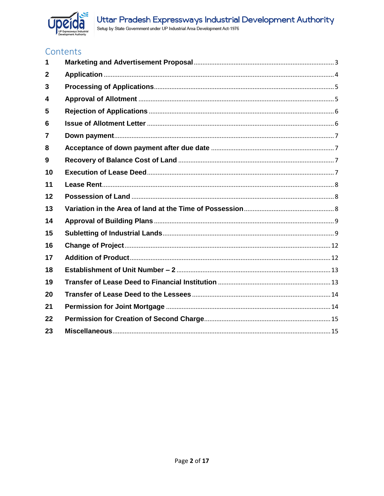

## Contents

| 1  |  |
|----|--|
| 2  |  |
| 3  |  |
| 4  |  |
| 5  |  |
| 6  |  |
| 7  |  |
| 8  |  |
| 9  |  |
| 10 |  |
| 11 |  |
| 12 |  |
| 13 |  |
| 14 |  |
| 15 |  |
| 16 |  |
| 17 |  |
| 18 |  |
| 19 |  |
| 20 |  |
| 21 |  |
| 22 |  |
| 23 |  |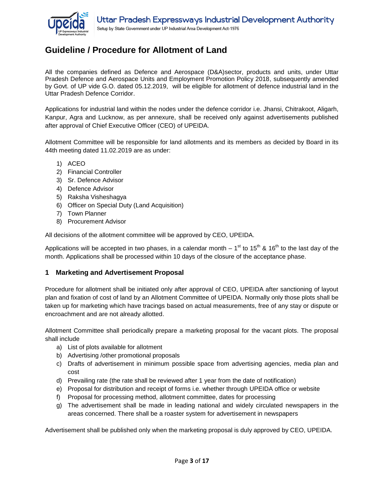

## **Guideline / Procedure for Allotment of Land**

All the companies defined as Defence and Aerospace (D&A)sector, products and units, under Uttar Pradesh Defence and Aerospace Units and Employment Promotion Policy 2018, subsequently amended by Govt. of UP vide G.O. dated 05.12.2019, will be eligible for allotment of defence industrial land in the Uttar Pradesh Defence Corridor.

Applications for industrial land within the nodes under the defence corridor i.e. Jhansi, Chitrakoot, Aligarh, Kanpur, Agra and Lucknow, as per annexure, shall be received only against advertisements published after approval of Chief Executive Officer (CEO) of UPEIDA.

Allotment Committee will be responsible for land allotments and its members as decided by Board in its 44th meeting dated 11.02.2019 are as under:

- 1) ACEO
- 2) Financial Controller
- 3) Sr. Defence Advisor
- 4) Defence Advisor
- 5) Raksha Visheshagya
- 6) Officer on Special Duty (Land Acquisition)
- 7) Town Planner
- 8) Procurement Advisor

All decisions of the allotment committee will be approved by CEO, UPEIDA.

Applications will be accepted in two phases, in a calendar month – 1<sup>st</sup> to 15<sup>th</sup> & 16<sup>th</sup> to the last day of the month. Applications shall be processed within 10 days of the closure of the acceptance phase.

#### <span id="page-2-0"></span>**1 Marketing and Advertisement Proposal**

Procedure for allotment shall be initiated only after approval of CEO, UPEIDA after sanctioning of layout plan and fixation of cost of land by an Allotment Committee of UPEIDA. Normally only those plots shall be taken up for marketing which have tracings based on actual measurements, free of any stay or dispute or encroachment and are not already allotted.

Allotment Committee shall periodically prepare a marketing proposal for the vacant plots. The proposal shall include

- a) List of plots available for allotment
- b) Advertising /other promotional proposals
- c) Drafts of advertisement in minimum possible space from advertising agencies, media plan and cost
- d) Prevailing rate (the rate shall be reviewed after 1 year from the date of notification)
- e) Proposal for distribution and receipt of forms i.e. whether through UPEIDA office or website
- f) Proposal for processing method, allotment committee, dates for processing
- g) The advertisement shall be made in leading national and widely circulated newspapers in the areas concerned. There shall be a roaster system for advertisement in newspapers

Advertisement shall be published only when the marketing proposal is duly approved by CEO, UPEIDA.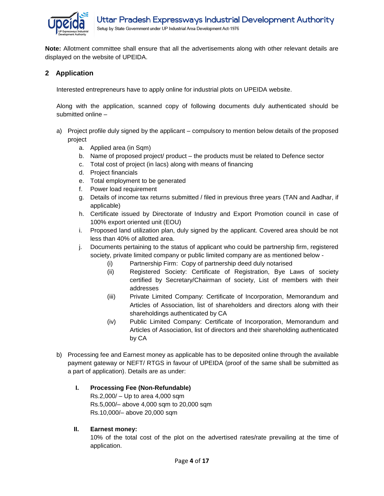

**Note:** Allotment committee shall ensure that all the advertisements along with other relevant details are displayed on the website of UPEIDA.

#### <span id="page-3-0"></span>**2 Application**

Interested entrepreneurs have to apply online for industrial plots on UPEIDA website.

Along with the application, scanned copy of following documents duly authenticated should be submitted online –

- a) Project profile duly signed by the applicant compulsory to mention below details of the proposed project
	- a. Applied area (in Sqm)
	- b. Name of proposed project/ product the products must be related to Defence sector
	- c. Total cost of project (in lacs) along with means of financing
	- d. Project financials
	- e. Total employment to be generated
	- f. Power load requirement
	- g. Details of income tax returns submitted / filed in previous three years (TAN and Aadhar, if applicable)
	- h. Certificate issued by Directorate of Industry and Export Promotion council in case of 100% export oriented unit (EOU)
	- i. Proposed land utilization plan, duly signed by the applicant. Covered area should be not less than 40% of allotted area.
	- j. Documents pertaining to the status of applicant who could be partnership firm, registered society, private limited company or public limited company are as mentioned below -
		- (i) Partnership Firm: Copy of partnership deed duly notarised
		- (ii) Registered Society: Certificate of Registration, Bye Laws of society certified by Secretary/Chairman of society, List of members with their addresses
		- (iii) Private Limited Company: Certificate of Incorporation, Memorandum and Articles of Association, list of shareholders and directors along with their shareholdings authenticated by CA
		- (iv) Public Limited Company: Certificate of Incorporation, Memorandum and Articles of Association, list of directors and their shareholding authenticated by CA
- b) Processing fee and Earnest money as applicable has to be deposited online through the available payment gateway or NEFT/ RTGS in favour of UPEIDA (proof of the same shall be submitted as a part of application). Details are as under:

#### **I. Processing Fee (Non-Refundable)**

Rs.2,000/ – Up to area 4,000 sqm Rs.5,000/– above 4,000 sqm to 20,000 sqm Rs.10,000/– above 20,000 sqm

#### **II. Earnest money:**

10% of the total cost of the plot on the advertised rates/rate prevailing at the time of application.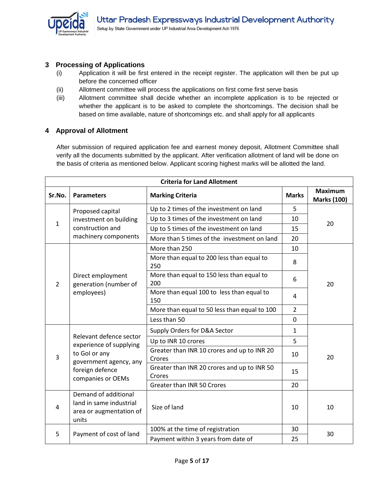

#### <span id="page-4-0"></span>**3 Processing of Applications**

- (i) Application it will be first entered in the receipt register. The application will then be put up before the concerned officer
- (ii) Allotment committee will process the applications on first come first serve basis
- (iii) Allotment committee shall decide whether an incomplete application is to be rejected or whether the applicant is to be asked to complete the shortcomings. The decision shall be based on time available, nature of shortcomings etc. and shall apply for all applicants

#### <span id="page-4-1"></span>**4 Approval of Allotment**

After submission of required application fee and earnest money deposit, Allotment Committee shall verify all the documents submitted by the applicant. After verification allotment of land will be done on the basis of criteria as mentioned below. Applicant scoring highest marks will be allotted the land.

| <b>Criteria for Land Allotment</b> |                                                                                                                                       |                                                       |                |                                      |  |
|------------------------------------|---------------------------------------------------------------------------------------------------------------------------------------|-------------------------------------------------------|----------------|--------------------------------------|--|
| Sr.No.                             | <b>Parameters</b>                                                                                                                     | <b>Marking Criteria</b>                               | <b>Marks</b>   | <b>Maximum</b><br><b>Marks (100)</b> |  |
| $\mathbf{1}$                       | Proposed capital<br>investment on building<br>construction and<br>machinery components                                                | Up to 2 times of the investment on land               | 5              | 20                                   |  |
|                                    |                                                                                                                                       | Up to 3 times of the investment on land               | 10             |                                      |  |
|                                    |                                                                                                                                       | Up to 5 times of the investment on land               | 15             |                                      |  |
|                                    |                                                                                                                                       | More than 5 times of the investment on land           | 20             |                                      |  |
|                                    |                                                                                                                                       | More than 250                                         | 10             | 20                                   |  |
|                                    | Direct employment<br>generation (number of<br>employees)                                                                              | More than equal to 200 less than equal to<br>250      | 8              |                                      |  |
| $\mathcal{L}$                      |                                                                                                                                       | More than equal to 150 less than equal to<br>200      | 6              |                                      |  |
|                                    |                                                                                                                                       | More than equal 100 to less than equal to<br>150      | 4              |                                      |  |
|                                    |                                                                                                                                       | More than equal to 50 less than equal to 100          | $\overline{2}$ |                                      |  |
|                                    |                                                                                                                                       | Less than 50                                          | $\mathbf 0$    |                                      |  |
|                                    | Relevant defence sector<br>experience of supplying<br>to Gol or any<br>government agency, any<br>foreign defence<br>companies or OEMs | Supply Orders for D&A Sector                          | 1              |                                      |  |
|                                    |                                                                                                                                       | Up to INR 10 crores                                   | 5              |                                      |  |
| 3                                  |                                                                                                                                       | Greater than INR 10 crores and up to INR 20<br>Crores | 10             | 20                                   |  |
|                                    |                                                                                                                                       | Greater than INR 20 crores and up to INR 50<br>Crores | 15             |                                      |  |
|                                    |                                                                                                                                       | Greater than INR 50 Crores                            | 20             |                                      |  |
| 4                                  | Demand of additional<br>land in same industrial<br>area or augmentation of<br>units                                                   | Size of land                                          | 10             | 10                                   |  |
|                                    | Payment of cost of land                                                                                                               | 100% at the time of registration                      | 30             | 30                                   |  |
| 5                                  |                                                                                                                                       | Payment within 3 years from date of                   | 25             |                                      |  |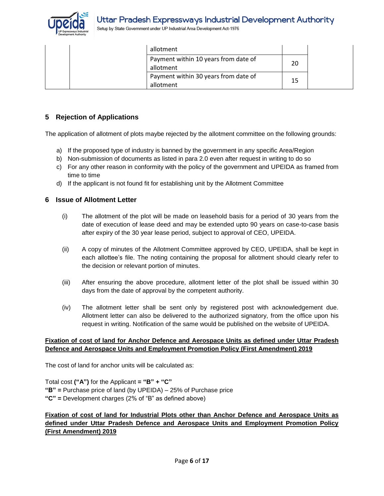

Setup by State Government under UP Industrial Area Development Act-1976

| allotment                                         |    |  |
|---------------------------------------------------|----|--|
| Payment within 10 years from date of<br>allotment | 20 |  |
| Payment within 30 years from date of<br>allotment | 15 |  |

#### <span id="page-5-0"></span>**5 Rejection of Applications**

The application of allotment of plots maybe rejected by the allotment committee on the following grounds:

- a) If the proposed type of industry is banned by the government in any specific Area/Region
- b) Non-submission of documents as listed in para 2.0 even after request in writing to do so
- c) For any other reason in conformity with the policy of the government and UPEIDA as framed from time to time
- d) If the applicant is not found fit for establishing unit by the Allotment Committee

#### <span id="page-5-1"></span>**6 Issue of Allotment Letter**

- (i) The allotment of the plot will be made on leasehold basis for a period of 30 years from the date of execution of lease deed and may be extended upto 90 years on case-to-case basis after expiry of the 30 year lease period, subject to approval of CEO, UPEIDA.
- (ii) A copy of minutes of the Allotment Committee approved by CEO, UPEIDA, shall be kept in each allottee's file. The noting containing the proposal for allotment should clearly refer to the decision or relevant portion of minutes.
- (iii) After ensuring the above procedure, allotment letter of the plot shall be issued within 30 days from the date of approval by the competent authority.
- (iv) The allotment letter shall be sent only by registered post with acknowledgement due. Allotment letter can also be delivered to the authorized signatory, from the office upon his request in writing. Notification of the same would be published on the website of UPEIDA.

#### **Fixation of cost of land for Anchor Defence and Aerospace Units as defined under Uttar Pradesh Defence and Aerospace Units and Employment Promotion Policy (First Amendment) 2019**

The cost of land for anchor units will be calculated as:

Total cost **("A")** for the Applicant **= "B" + "C" "B" =** Purchase price of land (by UPEIDA) – 25% of Purchase price **"C" =** Development charges (2% of "B" as defined above)

#### **Fixation of cost of land for Industrial Plots other than Anchor Defence and Aerospace Units as defined under Uttar Pradesh Defence and Aerospace Units and Employment Promotion Policy (First Amendment) 2019**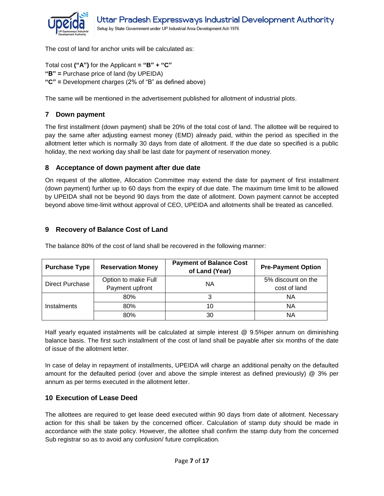

The cost of land for anchor units will be calculated as:

Total cost **("A")** for the Applicant **= "B" + "C" "B" =** Purchase price of land (by UPEIDA) **"C" =** Development charges (2% of "B" as defined above)

The same will be mentioned in the advertisement published for allotment of industrial plots.

#### <span id="page-6-0"></span>**7 Down payment**

The first installment (down payment) shall be 20% of the total cost of land. The allottee will be required to pay the same after adjusting earnest money (EMD) already paid, within the period as specified in the allotment letter which is normally 30 days from date of allotment. If the due date so specified is a public holiday, the next working day shall be last date for payment of reservation money.

#### <span id="page-6-1"></span>**8 Acceptance of down payment after due date**

On request of the allottee, Allocation Committee may extend the date for payment of first installment (down payment) further up to 60 days from the expiry of due date. The maximum time limit to be allowed by UPEIDA shall not be beyond 90 days from the date of allotment. Down payment cannot be accepted beyond above time-limit without approval of CEO, UPEIDA and allotments shall be treated as cancelled.

#### <span id="page-6-2"></span>**9 Recovery of Balance Cost of Land**

| <b>Purchase Type</b>   | <b>Reservation Money</b>               | <b>Payment of Balance Cost</b><br>of Land (Year) | <b>Pre-Payment Option</b>          |
|------------------------|----------------------------------------|--------------------------------------------------|------------------------------------|
| <b>Direct Purchase</b> | Option to make Full<br>Payment upfront | ΝA                                               | 5% discount on the<br>cost of land |
|                        | 80%                                    |                                                  | ΝA                                 |
| Instalments            | 80%                                    | 10                                               | ΝA                                 |
|                        | 80%                                    | 30                                               | ΝA                                 |

The balance 80% of the cost of land shall be recovered in the following manner:

Half yearly equated instalments will be calculated at simple interest @ 9.5%per annum on diminishing balance basis. The first such installment of the cost of land shall be payable after six months of the date of issue of the allotment letter.

In case of delay in repayment of installments, UPEIDA will charge an additional penalty on the defaulted amount for the defaulted period (over and above the simple interest as defined previously) @ 3% per annum as per terms executed in the allotment letter.

#### <span id="page-6-3"></span>**10 Execution of Lease Deed**

The allottees are required to get lease deed executed within 90 days from date of allotment. Necessary action for this shall be taken by the concerned officer. Calculation of stamp duty should be made in accordance with the state policy. However, the allottee shall confirm the stamp duty from the concerned Sub registrar so as to avoid any confusion/ future complication.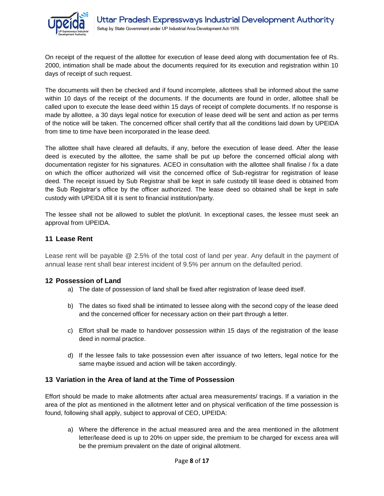

On receipt of the request of the allottee for execution of lease deed along with documentation fee of Rs. 2000, intimation shall be made about the documents required for its execution and registration within 10 days of receipt of such request.

The documents will then be checked and if found incomplete, allottees shall be informed about the same within 10 days of the receipt of the documents. If the documents are found in order, allottee shall be called upon to execute the lease deed within 15 days of receipt of complete documents. If no response is made by allottee, a 30 days legal notice for execution of lease deed will be sent and action as per terms of the notice will be taken. The concerned officer shall certify that all the conditions laid down by UPEIDA from time to time have been incorporated in the lease deed.

The allottee shall have cleared all defaults, if any, before the execution of lease deed. After the lease deed is executed by the allottee, the same shall be put up before the concerned official along with documentation register for his signatures. ACEO in consultation with the allottee shall finalise / fix a date on which the officer authorized will visit the concerned office of Sub-registrar for registration of lease deed. The receipt issued by Sub Registrar shall be kept in safe custody till lease deed is obtained from the Sub Registrar's office by the officer authorized. The lease deed so obtained shall be kept in safe custody with UPEIDA till it is sent to financial institution/party.

The lessee shall not be allowed to sublet the plot/unit. In exceptional cases, the lessee must seek an approval from UPEIDA.

#### <span id="page-7-0"></span>**11 Lease Rent**

Lease rent will be payable @ 2.5% of the total cost of land per year. Any default in the payment of annual lease rent shall bear interest incident of 9.5% per annum on the defaulted period.

#### <span id="page-7-1"></span>**12 Possession of Land**

- a) The date of possession of land shall be fixed after registration of lease deed itself.
- b) The dates so fixed shall be intimated to lessee along with the second copy of the lease deed and the concerned officer for necessary action on their part through a letter.
- c) Effort shall be made to handover possession within 15 days of the registration of the lease deed in normal practice.
- d) If the lessee fails to take possession even after issuance of two letters, legal notice for the same maybe issued and action will be taken accordingly.

#### <span id="page-7-2"></span>**13 Variation in the Area of land at the Time of Possession**

Effort should be made to make allotments after actual area measurements/ tracings. If a variation in the area of the plot as mentioned in the allotment letter and on physical verification of the time possession is found, following shall apply, subject to approval of CEO, UPEIDA:

a) Where the difference in the actual measured area and the area mentioned in the allotment letter/lease deed is up to 20% on upper side, the premium to be charged for excess area will be the premium prevalent on the date of original allotment.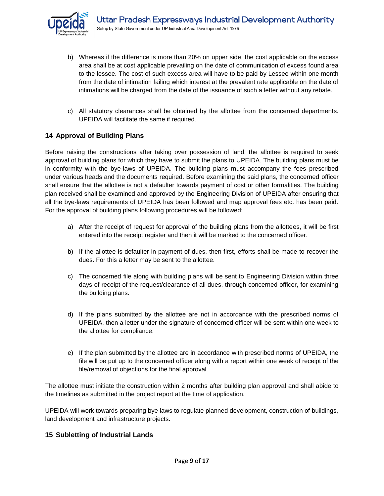

- b) Whereas if the difference is more than 20% on upper side, the cost applicable on the excess area shall be at cost applicable prevailing on the date of communication of excess found area to the lessee. The cost of such excess area will have to be paid by Lessee within one month from the date of intimation failing which interest at the prevalent rate applicable on the date of intimations will be charged from the date of the issuance of such a letter without any rebate.
- c) All statutory clearances shall be obtained by the allottee from the concerned departments. UPEIDA will facilitate the same if required.

#### <span id="page-8-0"></span>**14 Approval of Building Plans**

Before raising the constructions after taking over possession of land, the allottee is required to seek approval of building plans for which they have to submit the plans to UPEIDA. The building plans must be in conformity with the bye-laws of UPEIDA. The building plans must accompany the fees prescribed under various heads and the documents required. Before examining the said plans, the concerned officer shall ensure that the allottee is not a defaulter towards payment of cost or other formalities. The building plan received shall be examined and approved by the Engineering Division of UPEIDA after ensuring that all the bye-laws requirements of UPEIDA has been followed and map approval fees etc. has been paid. For the approval of building plans following procedures will be followed:

- a) After the receipt of request for approval of the building plans from the allottees, it will be first entered into the receipt register and then it will be marked to the concerned officer.
- b) If the allottee is defaulter in payment of dues, then first, efforts shall be made to recover the dues. For this a letter may be sent to the allottee.
- c) The concerned file along with building plans will be sent to Engineering Division within three days of receipt of the request/clearance of all dues, through concerned officer, for examining the building plans.
- d) If the plans submitted by the allottee are not in accordance with the prescribed norms of UPEIDA, then a letter under the signature of concerned officer will be sent within one week to the allottee for compliance.
- e) If the plan submitted by the allottee are in accordance with prescribed norms of UPEIDA, the file will be put up to the concerned officer along with a report within one week of receipt of the file/removal of objections for the final approval.

The allottee must initiate the construction within 2 months after building plan approval and shall abide to the timelines as submitted in the project report at the time of application.

UPEIDA will work towards preparing bye laws to regulate planned development, construction of buildings, land development and infrastructure projects.

#### <span id="page-8-1"></span>**15 Subletting of Industrial Lands**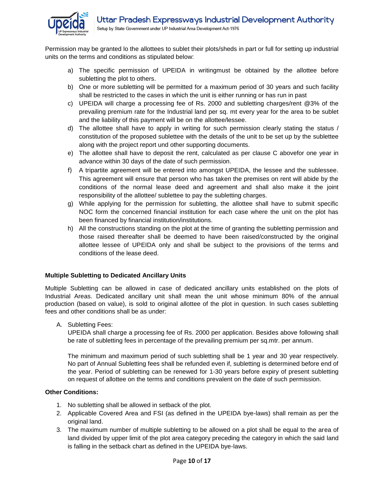

Permission may be granted lo the allottees to sublet their plots/sheds in part or full for setting up industrial units on the terms and conditions as stipulated below:

- a) The specific permission of UPEIDA in writingmust be obtained by the allottee before subletting the plot to others.
- b) One or more subletting will be permitted for a maximum period of 30 years and such facility shall be restricted to the cases in which the unit is either running or has run in past
- c) UPEIDA will charge a processing fee of Rs. 2000 and subletting charges/rent @3% of the prevailing premium rate for the Industrial land per sq. mt every year for the area to be sublet and the liability of this payment will be on the allottee/lessee.
- d) The allottee shall have to apply in writing for such permission clearly stating the status / constitution of the proposed sublettee with the details of the unit to be set up by the sublettee along with the project report und other supporting documents.
- e) The allottee shall have to deposit the rent, calculated as per clause C abovefor one year in advance within 30 days of the date of such permission.
- f) A tripartite agreement will be entered into amongst UPEIDA, the lessee and the sublessee. This agreement will ensure that person who has taken the premises on rent will abide by the conditions of the normal lease deed and agreement and shall also make it the joint responsibility of the allottee/ sublettee to pay the subletting charges.
- g) While applying for the permission for subletting, the allottee shall have to submit specific NOC form the concerned financial institution for each case where the unit on the plot has been financed by financial institution/institutions.
- h) All the constructions standing on the plot at the time of granting the subletting permission and those raised thereafter shall be deemed to have been raised/constructed by the original allottee lessee of UPEIDA only and shall be subject to the provisions of the terms and conditions of the lease deed.

#### **Multiple Subletting to Dedicated Ancillary Units**

Multiple Subletting can be allowed in case of dedicated ancillary units established on the plots of Industrial Areas. Dedicated ancillary unit shall mean the unit whose minimum 80% of the annual production (based on value), is sold to original allottee of the plot in question. In such cases subletting fees and other conditions shall be as under:

A. Subletting Fees:

UPEIDA shall charge a processing fee of Rs. 2000 per application. Besides above following shall be rate of subletting fees in percentage of the prevailing premium per sq.mtr. per annum.

The minimum and maximum period of such subletting shall be 1 year and 30 year respectively. No part of Annual Subletting fees shall be refunded even if, subletting is determined before end of the year. Period of subletting can be renewed for 1-30 years before expiry of present subletting on request of allottee on the terms and conditions prevalent on the date of such permission.

#### **Other Conditions:**

- 1. No subletting shall be allowed in setback of the plot.
- 2. Applicable Covered Area and FSI (as defined in the UPEIDA bye-laws) shall remain as per the original land.
- 3. The maximum number of multiple subletting to be allowed on a plot shall be equal to the area of land divided by upper limit of the plot area category preceding the category in which the said land is falling in the setback chart as defined in the UPEIDA bye-laws.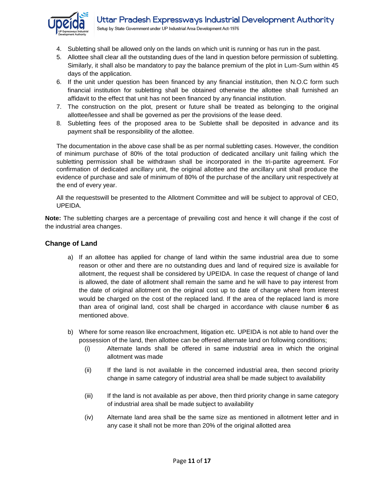

- 4. Subletting shall be allowed only on the lands on which unit is running or has run in the past.
- 5. Allottee shall clear all the outstanding dues of the land in question before permission of subletting. Similarly, it shall also be mandatory to pay the balance premium of the plot in Lum-Sum within 45 days of the application.
- 6. If the unit under question has been financed by any financial institution, then N.O.C form such financial institution for subletting shall be obtained otherwise the allottee shall furnished an affidavit to the effect that unit has not been financed by any financial institution.
- 7. The construction on the plot, present or future shall be treated as belonging to the original allottee/lessee and shall be governed as per the provisions of the lease deed.
- 8. Subletting fees of the proposed area to be Sublette shall be deposited in advance and its payment shall be responsibility of the allottee.

The documentation in the above case shall be as per normal subletting cases. However, the condition of minimum purchase of 80% of the total production of dedicated ancillary unit failing which the subletting permission shall be withdrawn shall be incorporated in the tri-partite agreement. For confirmation of dedicated ancillary unit, the original allottee and the ancillary unit shall produce the evidence of purchase and sale of minimum of 80% of the purchase of the ancillary unit respectively at the end of every year.

All the requestswill be presented to the Allotment Committee and will be subject to approval of CEO, UPEIDA.

**Note:** The subletting charges are a percentage of prevailing cost and hence it will change if the cost of the industrial area changes.

#### **Change of Land**

- a) If an allottee has applied for change of land within the same industrial area due to some reason or other and there are no outstanding dues and land of required size is available for allotment, the request shall be considered by UPEIDA. In case the request of change of land is allowed, the date of allotment shall remain the same and he will have to pay interest from the date of original allotment on the original cost up to date of change where from interest would be charged on the cost of the replaced land. If the area of the replaced land is more than area of original land, cost shall be charged in accordance with clause number **6** as mentioned above.
- b) Where for some reason like encroachment, litigation etc. UPEIDA is not able to hand over the possession of the land, then allottee can be offered alternate land on following conditions;
	- (i) Alternate lands shall be offered in same industrial area in which the original allotment was made
	- (ii) If the land is not available in the concerned industrial area, then second priority change in same category of industrial area shall be made subject to availability
	- (iii) If the land is not available as per above, then third priority change in same category of industrial area shall be made subject to availability
	- (iv) Alternate land area shall be the same size as mentioned in allotment letter and in any case it shall not be more than 20% of the original allotted area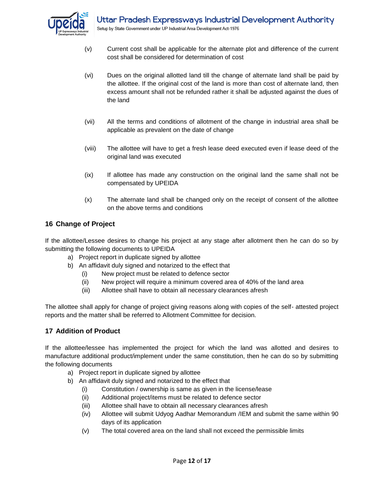

- (v) Current cost shall be applicable for the alternate plot and difference of the current cost shall be considered for determination of cost
- (vi) Dues on the original allotted land till the change of alternate land shall be paid by the allottee. If the original cost of the land is more than cost of alternate land, then excess amount shall not be refunded rather it shall be adjusted against the dues of the land
- (vii) All the terms and conditions of allotment of the change in industrial area shall be applicable as prevalent on the date of change
- (viii) The allottee will have to get a fresh lease deed executed even if lease deed of the original land was executed
- (ix) If allottee has made any construction on the original land the same shall not be compensated by UPEIDA
- (x) The alternate land shall be changed only on the receipt of consent of the allottee on the above terms and conditions

#### <span id="page-11-0"></span>**16 Change of Project**

If the allottee/Lessee desires to change his project at any stage after allotment then he can do so by submitting the following documents to UPEIDA

- a) Project report in duplicate signed by allottee
- b) An affidavit duly signed and notarized to the effect that
	- (i) New project must be related to defence sector
	- (ii) New project will require a minimum covered area of 40% of the land area
	- (iii) Allottee shall have to obtain all necessary clearances afresh

The allottee shall apply for change of project giving reasons along with copies of the self- attested project reports and the matter shall be referred to Allotment Committee for decision.

#### <span id="page-11-1"></span>**17 Addition of Product**

If the allottee/lessee has implemented the project for which the land was allotted and desires to manufacture additional product/implement under the same constitution, then he can do so by submitting the following documents

- a) Project report in duplicate signed by allottee
- b) An affidavit duly signed and notarized to the effect that
	- (i) Constitution / ownership is same as given in the license/lease
	- (ii) Additional project/items must be related to defence sector
	- (iii) Allottee shall have to obtain all necessary clearances afresh
	- (iv) Allottee will submit Udyog Aadhar Memorandum /IEM and submit the same within 90 days of its application
	- (v) The total covered area on the land shall not exceed the permissible limits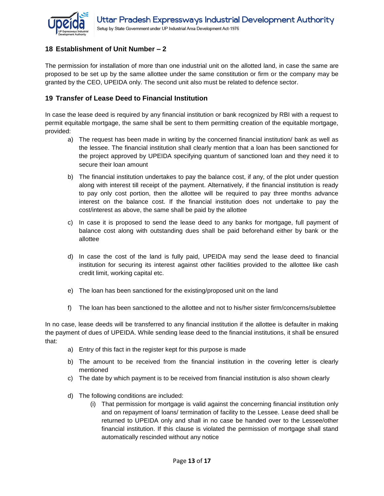

#### <span id="page-12-0"></span>**18 Establishment of Unit Number – 2**

The permission for installation of more than one industrial unit on the allotted land, in case the same are proposed to be set up by the same allottee under the same constitution or firm or the company may be granted by the CEO, UPEIDA only. The second unit also must be related to defence sector.

#### <span id="page-12-1"></span>**19 Transfer of Lease Deed to Financial Institution**

In case the lease deed is required by any financial institution or bank recognized by RBI with a request to permit equitable mortgage, the same shall be sent to them permitting creation of the equitable mortgage, provided:

- a) The request has been made in writing by the concerned financial institution/ bank as well as the lessee. The financial institution shall clearly mention that a loan has been sanctioned for the project approved by UPEIDA specifying quantum of sanctioned loan and they need it to secure their loan amount
- b) The financial institution undertakes to pay the balance cost, if any, of the plot under question along with interest till receipt of the payment. Alternatively, if the financial institution is ready to pay only cost portion, then the allottee will be required to pay three months advance interest on the balance cost. If the financial institution does not undertake to pay the cost/interest as above, the same shall be paid by the allottee
- c) In case it is proposed to send the lease deed to any banks for mortgage, full payment of balance cost along with outstanding dues shall be paid beforehand either by bank or the allottee
- d) In case the cost of the land is fully paid, UPEIDA may send the lease deed to financial institution for securing its interest against other facilities provided to the allottee like cash credit limit, working capital etc.
- e) The loan has been sanctioned for the existing/proposed unit on the land
- f) The loan has been sanctioned to the allottee and not to his/her sister firm/concerns/sublettee

In no case, lease deeds will be transferred to any financial institution if the allottee is defaulter in making the payment of dues of UPEIDA. While sending lease deed to the financial institutions, it shall be ensured that:

- a) Entry of this fact in the register kept for this purpose is made
- b) The amount to be received from the financial institution in the covering letter is clearly mentioned
- c) The date by which payment is to be received from financial institution is also shown clearly
- d) The following conditions are included:
	- (i) That permission for mortgage is valid against the concerning financial institution only and on repayment of loans/ termination of facility to the Lessee. Lease deed shall be returned to UPEIDA only and shall in no case be handed over to the Lessee/other financial institution. If this clause is violated the permission of mortgage shall stand automatically rescinded without any notice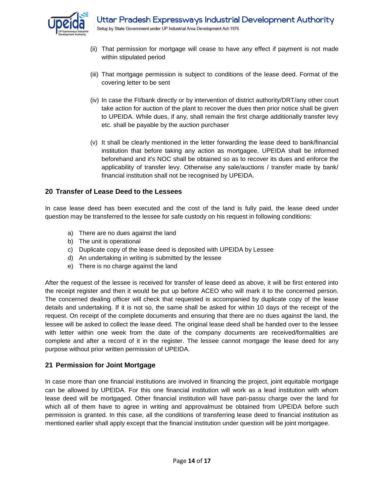

- (ii) That permission for mortgage will cease to have any effect if payment is not made within stipulated period
- (iii) That mortgage permission is subject to conditions of the lease deed. Format of the covering letter to be sent
- (iv) In case the FI/bank directly or by intervention of district authority/DRT/any other court take action for auction of the plant to recover the dues then prior notice shall be given to UPEIDA. While dues, if any, shall remain the first charge additionally transfer levy etc. shall be payable by the auction purchaser
- (v) It shall be clearly mentioned in the letter forwarding the lease deed to bank/financial institution that before taking any action as mortgagee, UPEIDA shall be informed beforehand and it's NOC shall be obtained so as to recover its dues and enforce the applicability of transfer levy. Otherwise any sale/auctions / transfer made by bank/ financial institution shall not be recognised by UPEIDA.

#### <span id="page-13-0"></span>**20 Transfer of Lease Deed to the Lessees**

In case lease deed has been executed and the cost of the land is fully paid, the lease deed under question may be transferred to the lessee for safe custody on his request in following conditions:

- a) There are no dues against the land
- b) The unit is operational
- c) Duplicate copy of the lease deed is deposited with UPEIDA by Lessee
- d) An undertaking in writing is submitted by the lessee
- e) There is no charge against the land

After the request of the lessee is received for transfer of lease deed as above, it will be first entered into the receipt register and then it would be put up before ACEO who will mark it to the concerned person. The concerned dealing officer will check that requested is accompanied by duplicate copy of the lease details and undertaking. If it is not so, the same shall be asked for within 10 days of the receipt of the request. On receipt of the complete documents and ensuring that there are no dues against the land, the lessee will be asked to collect the lease deed. The original lease deed shall be handed over to the lessee with letter within one week from the date of the company documents are received/formalities are complete and after a record of it in the register. The lessee cannot mortgage the lease deed for any purpose without prior written permission of UPEIDA.

#### <span id="page-13-1"></span>**21 Permission for Joint Mortgage**

In case more than one financial institutions are involved in financing the project, joint equitable mortgage can be allowed by UPEIDA. For this one financial institution will work as a lead institution with whom lease deed will be mortgaged. Other financial institution will have pari-passu charge over the land for which all of them have to agree in writing and approvalmust be obtained from UPEIDA before such permission is granted. In this case, all the conditions of transferring lease deed to financial institution as mentioned earlier shall apply except that the financial institution under question will be joint mortgagee.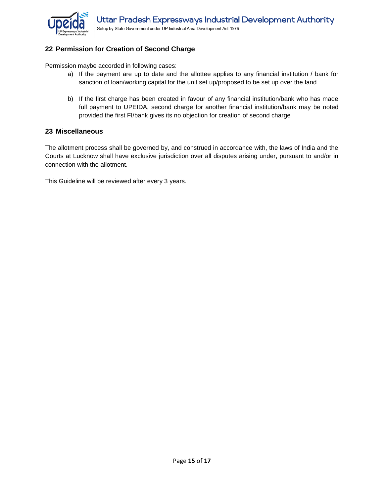

#### <span id="page-14-0"></span>**22 Permission for Creation of Second Charge**

Permission maybe accorded in following cases:

- a) If the payment are up to date and the allottee applies to any financial institution / bank for sanction of loan/working capital for the unit set up/proposed to be set up over the land
- b) If the first charge has been created in favour of any financial institution/bank who has made full payment to UPEIDA, second charge for another financial institution/bank may be noted provided the first FI/bank gives its no objection for creation of second charge

#### <span id="page-14-1"></span>**23 Miscellaneous**

The allotment process shall be governed by, and construed in accordance with, the laws of India and the Courts at Lucknow shall have exclusive jurisdiction over all disputes arising under, pursuant to and/or in connection with the allotment.

This Guideline will be reviewed after every 3 years.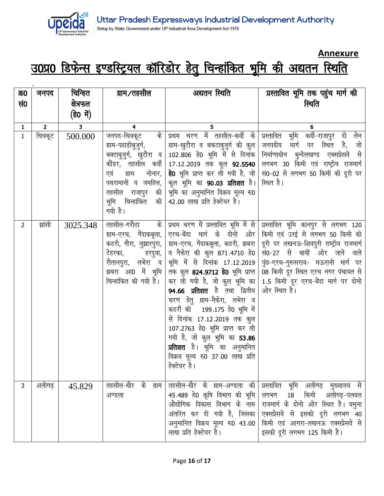

### **Annexure**

# उ0प्र0 डिफेन्स इण्डस्ट्रियल कॉरिडोर हेतु चिन्हांकित भूमि की अद्यतन स्थिति

 $\ddot{\phantom{a}}$ 

| क्र0           | जनपद           | चिन्हित                 | ग्राम∕तहसील                                                                                                                                                     | अद्यतन स्थिति                                                                                                                                                                                                                                                                                                                                                                                                                                 | प्रस्तावित भूमि तक पहुंच मार्ग की                                                                                                                                                                                                                                                                                                                                                            |
|----------------|----------------|-------------------------|-----------------------------------------------------------------------------------------------------------------------------------------------------------------|-----------------------------------------------------------------------------------------------------------------------------------------------------------------------------------------------------------------------------------------------------------------------------------------------------------------------------------------------------------------------------------------------------------------------------------------------|----------------------------------------------------------------------------------------------------------------------------------------------------------------------------------------------------------------------------------------------------------------------------------------------------------------------------------------------------------------------------------------------|
| सं0            |                | क्षेत्रफल               |                                                                                                                                                                 |                                                                                                                                                                                                                                                                                                                                                                                                                                               | स्थिति                                                                                                                                                                                                                                                                                                                                                                                       |
|                |                | (हे0 में)               |                                                                                                                                                                 |                                                                                                                                                                                                                                                                                                                                                                                                                                               |                                                                                                                                                                                                                                                                                                                                                                                              |
| $\mathbf 1$    | 2 <sup>1</sup> | $\overline{\mathbf{3}}$ | 4                                                                                                                                                               | 5                                                                                                                                                                                                                                                                                                                                                                                                                                             | 6                                                                                                                                                                                                                                                                                                                                                                                            |
| $\mathbf{1}$   | चित्रकूट       | 500.000                 | के<br><u>जनप</u> द-चित्रकूट<br>ग्राम-पहाड़ीबुजुर्ग,<br>बक्टाबुजुर्ग, खुटौरा व  <br>नोनार,  <br>एवं<br>ग्राम<br>पथरामानी व जमहिल,  <br>गयी है।                   | प्रथम चरण में तहसील-कर्वी के<br>ग्राम-खुटौरा व बकटाबुजुर्ग की कुल<br>102.806 हे0 भूमि में से दिनांक  <br>कौंडर, तहसील कर्वी   17.12.2019 तक कुल <b>92.5540</b>  <br>कुल भूमि का 90.03 प्रतिशत है। स्थित है।<br>तहसील राजापुर की शूमि का अनुमानित विक्रय मूल्य रु0<br>भूमि चिन्हांकित की 42.00 लाख प्रति हेक्टेयर है।                                                                                                                          | प्रस्तावित भूमि कर्वी-राजापुर दो लेन<br>जनपदीय मार्ग पर स्थित है, जो<br>निर्माणाधीन बुन्देलखण्ड एक्सप्रेसवे से<br>लगभग 30 किमी एवं राष्ट्रीय राजमार्ग<br>है0 भूमि प्राप्त कर ली गयी है, जो सं0-02 से लगभग 50 किमी की दूरी पर                                                                                                                                                                 |
| $\overline{2}$ | झांसी          | 3025.348                | तहसील-गरौठा के<br>ग्राम-एरच, गेंदाकबूला,<br>कठरी, गौरा, जुझारपुरा,<br>टेहरका,<br>हरदुवा,<br>रौतानपुरा, लभेरा व  <br>झबरा आ0 में भूमि  <br>विन्हांकित की गयी है। | एरच-बेंदा मार्ग के दोनो ओर  <br>व नैकेरा की कुल 871.4710 हे0  <br>भूमि में से दिनांक 17.12.2019  <br>तक कुल 824.9712 <b>हे0</b> भूमि प्राप्त  <br>94.66 प्रतिशत है तथा द्वितीय<br>चरण हेतु ग्राम-नैकेरा, लभेरा व<br>कटरी की 199.175 हे0 भूमि में<br>से दिनांक 17.12.2019 तक कुल<br>107.2763 हे0 भूमि प्राप्त कर ली<br>गयी है, जो कुल भूमि का 53.86<br><b>प्रतिशत</b> है। भूमि का अनुमानित<br>विक्रय मूल्य रु0 37.00 लाख प्रति<br>हेक्टेयर है। | प्रथम चरण में प्रस्तावित भूमि में से  प्रस्तावित भूमि कानपुर से लगभग 120<br>किमी एवं उरई से लगभग 50 किमी की<br>ग्राम-एरच, गेंदाकबूला, कठरी, झबरा   दूरी पर लखनऊ-शिवपुरी राष्ट्रीय राजमार्ग<br>सं0-27 से बायीं ओर जाने वाले<br>पुंछ-एरच-गुरूसराय- मऊरानी मार्ग पर<br>08 किमी दूर स्थित एरच नगर पंचायत से<br>कर ली गयी है, जो कुल भूमि का 1.5 किमी दूर एरच-बेंदा मार्ग पर दोनो<br>ओर स्थित है। |
| 3              | अलीगढ़         | 45.829                  | तहसील-खैर के ग्राम<br>अण्डला                                                                                                                                    | तहसील-खैर के ग्राम-अण्डला की<br>45.489 हे0 कृषि विभाग की भूमि  <br>औद्योगिक विकास विभाग के नाम  <br>अनुमानित विक्रय मूल्य रु0 43.00<br>लाख प्रति हेक्टेयर है।                                                                                                                                                                                                                                                                                 | प्रस्तावित भूमि अलीगढ़ मुख्यालय से<br>लगभग 18 किमी अलीगढ़-पलवल<br>राजमार्ग के दोनो ओर स्थित है। यमुना<br>अंतरित कर दी गयी है, जिसका एक्सप्रेसवे से इसकी दूरी लगभग 40<br>किमी एवं आगरा-लखनऊ एक्सप्रेसवे से<br>इसकी दूरी लगभग 125 किमी है।                                                                                                                                                     |